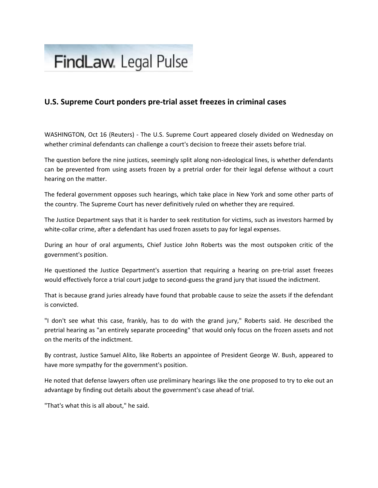## FindLaw. Legal Pulse

## **U.S. Supreme Court ponders pre‐trial asset freezes in criminal cases**

WASHINGTON, Oct 16 (Reuters) - The U.S. Supreme Court appeared closely divided on Wednesday on whether criminal defendants can challenge a court's decision to freeze their assets before trial.

The question before the nine justices, seemingly split along non-ideological lines, is whether defendants can be prevented from using assets frozen by a pretrial order for their legal defense without a court hearing on the matter.

The federal government opposes such hearings, which take place in New York and some other parts of the country. The Supreme Court has never definitively ruled on whether they are required.

The Justice Department says that it is harder to seek restitution for victims, such as investors harmed by white-collar crime, after a defendant has used frozen assets to pay for legal expenses.

During an hour of oral arguments, Chief Justice John Roberts was the most outspoken critic of the government's position.

He questioned the Justice Department's assertion that requiring a hearing on pre-trial asset freezes would effectively force a trial court judge to second‐guess the grand jury that issued the indictment.

That is because grand juries already have found that probable cause to seize the assets if the defendant is convicted.

"I don't see what this case, frankly, has to do with the grand jury," Roberts said. He described the pretrial hearing as "an entirely separate proceeding" that would only focus on the frozen assets and not on the merits of the indictment.

By contrast, Justice Samuel Alito, like Roberts an appointee of President George W. Bush, appeared to have more sympathy for the government's position.

He noted that defense lawyers often use preliminary hearings like the one proposed to try to eke out an advantage by finding out details about the government's case ahead of trial.

"That's what this is all about," he said.